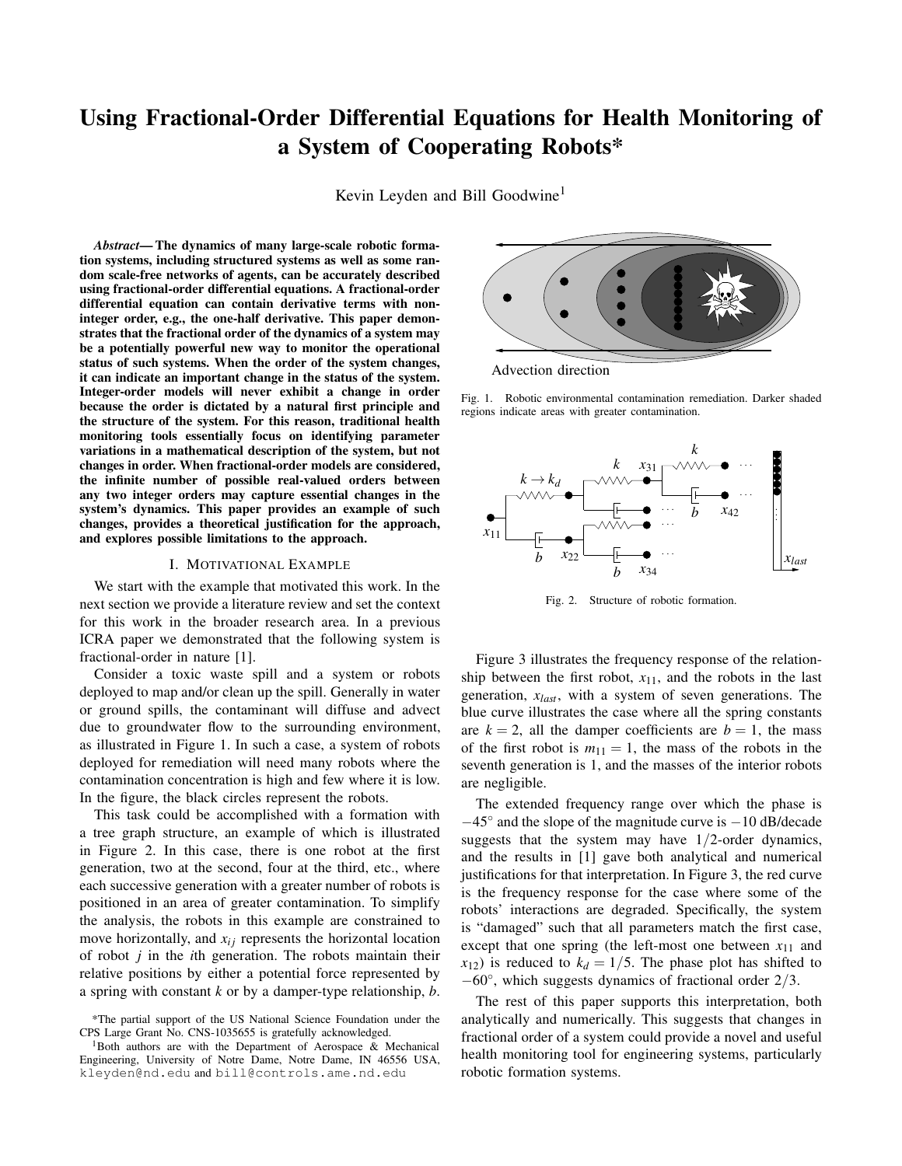# Using Fractional-Order Differential Equations for Health Monitoring of a System of Cooperating Robots\*

Kevin Leyden and Bill Goodwine<sup>1</sup>

*Abstract*— The dynamics of many large-scale robotic formation systems, including structured systems as well as some random scale-free networks of agents, can be accurately described using fractional-order differential equations. A fractional-order differential equation can contain derivative terms with noninteger order, e.g., the one-half derivative. This paper demonstrates that the fractional order of the dynamics of a system may be a potentially powerful new way to monitor the operational status of such systems. When the order of the system changes, it can indicate an important change in the status of the system. Integer-order models will never exhibit a change in order because the order is dictated by a natural first principle and the structure of the system. For this reason, traditional health monitoring tools essentially focus on identifying parameter variations in a mathematical description of the system, but not changes in order. When fractional-order models are considered, the infinite number of possible real-valued orders between any two integer orders may capture essential changes in the system's dynamics. This paper provides an example of such changes, provides a theoretical justification for the approach, and explores possible limitations to the approach.

### I. MOTIVATIONAL EXAMPLE

We start with the example that motivated this work. In the next section we provide a literature review and set the context for this work in the broader research area. In a previous ICRA paper we demonstrated that the following system is fractional-order in nature [1].

Consider a toxic waste spill and a system or robots deployed to map and/or clean up the spill. Generally in water or ground spills, the contaminant will diffuse and advect due to groundwater flow to the surrounding environment, as illustrated in Figure 1. In such a case, a system of robots deployed for remediation will need many robots where the contamination concentration is high and few where it is low. In the figure, the black circles represent the robots.

This task could be accomplished with a formation with a tree graph structure, an example of which is illustrated in Figure 2. In this case, there is one robot at the first generation, two at the second, four at the third, etc., where each successive generation with a greater number of robots is positioned in an area of greater contamination. To simplify the analysis, the robots in this example are constrained to move horizontally, and  $x_{ij}$  represents the horizontal location of robot *j* in the *i*th generation. The robots maintain their relative positions by either a potential force represented by a spring with constant *k* or by a damper-type relationship, *b*.



Advection direction

Fig. 1. Robotic environmental contamination remediation. Darker shaded regions indicate areas with greater contamination.



Fig. 2. Structure of robotic formation.

Figure 3 illustrates the frequency response of the relationship between the first robot,  $x_{11}$ , and the robots in the last generation, *xlast*, with a system of seven generations. The blue curve illustrates the case where all the spring constants are  $k = 2$ , all the damper coefficients are  $b = 1$ , the mass of the first robot is  $m_{11} = 1$ , the mass of the robots in the seventh generation is 1, and the masses of the interior robots are negligible.

The extended frequency range over which the phase is −45◦ and the slope of the magnitude curve is −10 dB/decade suggests that the system may have  $1/2$ -order dynamics, and the results in [1] gave both analytical and numerical justifications for that interpretation. In Figure 3, the red curve is the frequency response for the case where some of the robots' interactions are degraded. Specifically, the system is "damaged" such that all parameters match the first case, except that one spring (the left-most one between  $x_{11}$  and  $x_{12}$ ) is reduced to  $k_d = 1/5$ . The phase plot has shifted to −60◦ , which suggests dynamics of fractional order 2/3.

The rest of this paper supports this interpretation, both analytically and numerically. This suggests that changes in fractional order of a system could provide a novel and useful health monitoring tool for engineering systems, particularly robotic formation systems.

<sup>\*</sup>The partial support of the US National Science Foundation under the CPS Large Grant No. CNS-1035655 is gratefully acknowledged.

<sup>&</sup>lt;sup>1</sup>Both authors are with the Department of Aerospace  $\&$  Mechanical Engineering, University of Notre Dame, Notre Dame, IN 46556 USA, kleyden@nd.edu and bill@controls.ame.nd.edu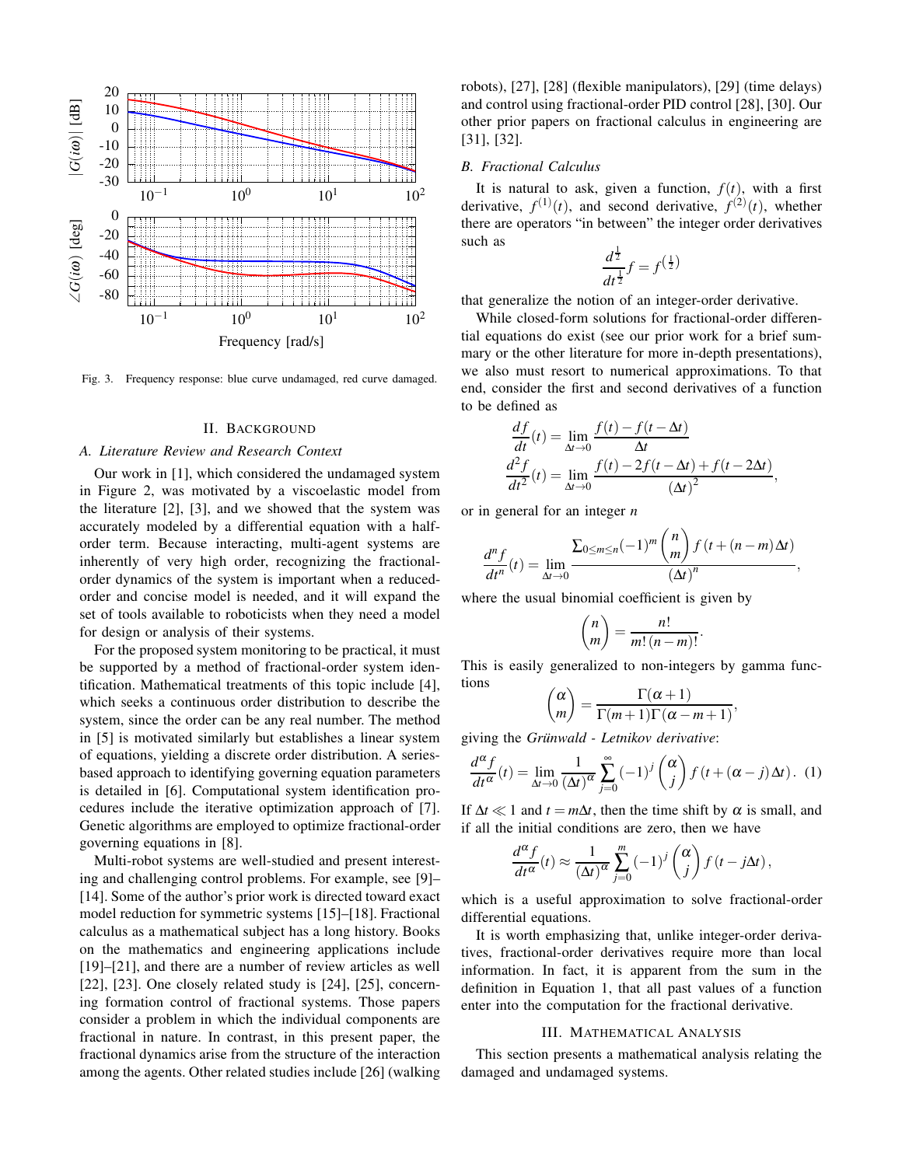

Fig. 3. Frequency response: blue curve undamaged, red curve damaged.

## II. BACKGROUND

## *A. Literature Review and Research Context*

Our work in [1], which considered the undamaged system in Figure 2, was motivated by a viscoelastic model from the literature [2], [3], and we showed that the system was accurately modeled by a differential equation with a halforder term. Because interacting, multi-agent systems are inherently of very high order, recognizing the fractionalorder dynamics of the system is important when a reducedorder and concise model is needed, and it will expand the set of tools available to roboticists when they need a model for design or analysis of their systems.

For the proposed system monitoring to be practical, it must be supported by a method of fractional-order system identification. Mathematical treatments of this topic include [4], which seeks a continuous order distribution to describe the system, since the order can be any real number. The method in [5] is motivated similarly but establishes a linear system of equations, yielding a discrete order distribution. A seriesbased approach to identifying governing equation parameters is detailed in [6]. Computational system identification procedures include the iterative optimization approach of [7]. Genetic algorithms are employed to optimize fractional-order governing equations in [8].

Multi-robot systems are well-studied and present interesting and challenging control problems. For example, see [9]– [14]. Some of the author's prior work is directed toward exact model reduction for symmetric systems [15]–[18]. Fractional calculus as a mathematical subject has a long history. Books on the mathematics and engineering applications include [19]–[21], and there are a number of review articles as well [22], [23]. One closely related study is [24], [25], concerning formation control of fractional systems. Those papers consider a problem in which the individual components are fractional in nature. In contrast, in this present paper, the fractional dynamics arise from the structure of the interaction among the agents. Other related studies include [26] (walking robots), [27], [28] (flexible manipulators), [29] (time delays) and control using fractional-order PID control [28], [30]. Our other prior papers on fractional calculus in engineering are [31], [32].

#### *B. Fractional Calculus*

It is natural to ask, given a function,  $f(t)$ , with a first derivative,  $f^{(1)}(t)$ , and second derivative,  $f^{(2)}(t)$ , whether there are operators "in between" the integer order derivatives such as 1

$$
\frac{d^{\frac{1}{2}}}{dt^{\frac{1}{2}}}f = f^{\left(\frac{1}{2}\right)}
$$

that generalize the notion of an integer-order derivative.

While closed-form solutions for fractional-order differential equations do exist (see our prior work for a brief summary or the other literature for more in-depth presentations), we also must resort to numerical approximations. To that end, consider the first and second derivatives of a function to be defined as

$$
\frac{df}{dt}(t) = \lim_{\Delta t \to 0} \frac{f(t) - f(t - \Delta t)}{\Delta t}
$$

$$
\frac{d^2 f}{dt^2}(t) = \lim_{\Delta t \to 0} \frac{f(t) - 2f(t - \Delta t) + f(t - 2\Delta t)}{(\Delta t)^2},
$$

or in general for an integer *n*

$$
\frac{d^n f}{dt^n}(t) = \lim_{\Delta t \to 0} \frac{\sum_{0 \le m \le n} (-1)^m \binom{n}{m} f(t + (n-m)\Delta t)}{(\Delta t)^n},
$$

where the usual binomial coefficient is given by

$$
\binom{n}{m} = \frac{n!}{m!(n-m)!}.
$$

This is easily generalized to non-integers by gamma functions

$$
\binom{\alpha}{m} = \frac{\Gamma(\alpha+1)}{\Gamma(m+1)\Gamma(\alpha-m+1)},
$$

giving the *Grünwald - Letnikov derivative*:

$$
\frac{d^{\alpha}f}{dt^{\alpha}}(t) = \lim_{\Delta t \to 0} \frac{1}{(\Delta t)^{\alpha}} \sum_{j=0}^{\infty} (-1)^{j} {\alpha \choose j} f(t + (\alpha - j)\Delta t). \tag{1}
$$

If  $\Delta t \ll 1$  and  $t = m\Delta t$ , then the time shift by  $\alpha$  is small, and if all the initial conditions are zero, then we have

$$
\frac{d^{\alpha} f}{dt^{\alpha}}(t) \approx \frac{1}{(\Delta t)^{\alpha}} \sum_{j=0}^{m} (-1)^{j} {\alpha \choose j} f(t - j\Delta t),
$$

which is a useful approximation to solve fractional-order differential equations.

It is worth emphasizing that, unlike integer-order derivatives, fractional-order derivatives require more than local information. In fact, it is apparent from the sum in the definition in Equation 1, that all past values of a function enter into the computation for the fractional derivative.

#### III. MATHEMATICAL ANALYSIS

This section presents a mathematical analysis relating the damaged and undamaged systems.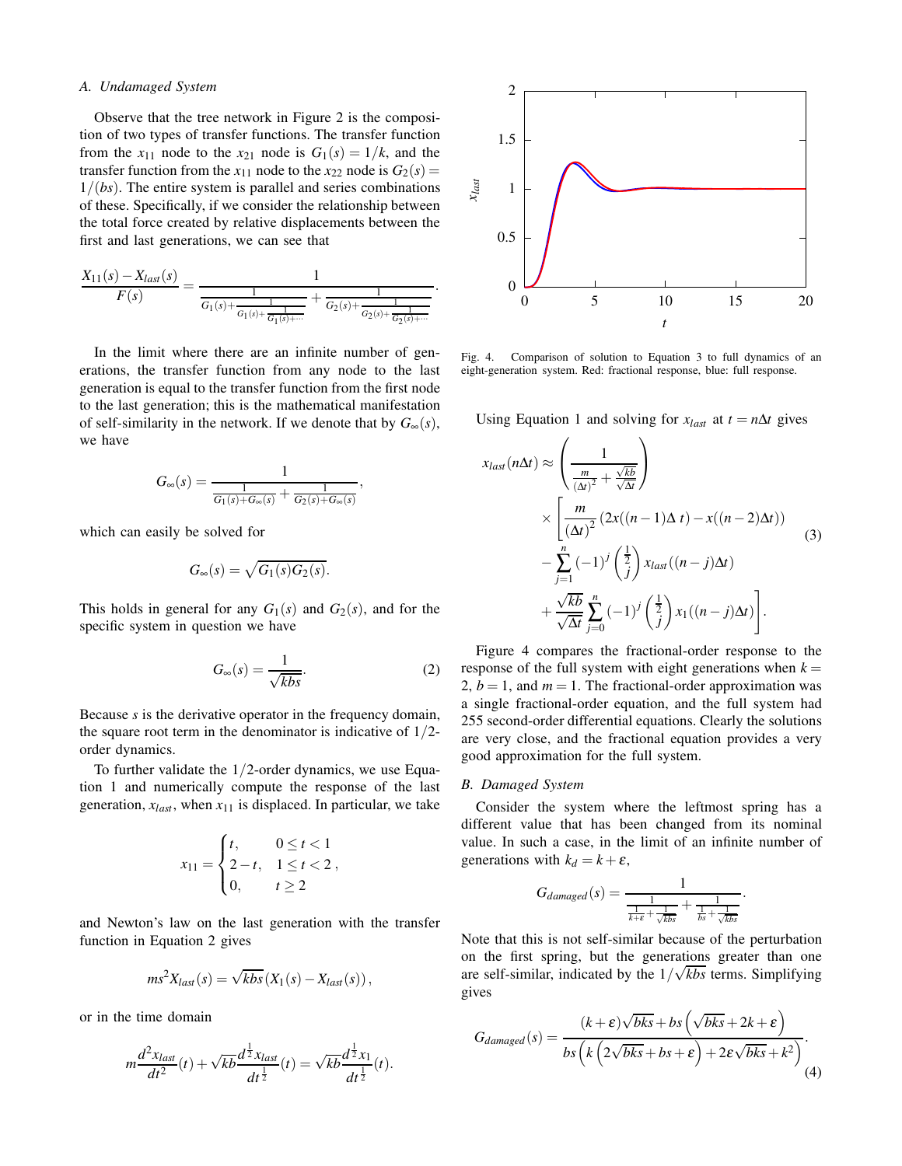# *A. Undamaged System*

Observe that the tree network in Figure 2 is the composition of two types of transfer functions. The transfer function from the  $x_{11}$  node to the  $x_{21}$  node is  $G_1(s) = 1/k$ , and the transfer function from the  $x_{11}$  node to the  $x_{22}$  node is  $G_2(s)$  = 1/(*bs*). The entire system is parallel and series combinations of these. Specifically, if we consider the relationship between the total force created by relative displacements between the first and last generations, we can see that

$$
\frac{X_{11}(s) - X_{last}(s)}{F(s)} = \frac{1}{\frac{1}{G_1(s) + \frac{1}{G_1(s) + \frac{1}{G_1(s) + \dotsb}}} + \frac{1}{G_2(s) + \frac{1}{G_2(s) + \frac{1}{G_2(s) + \dotsb}}}.
$$

In the limit where there are an infinite number of generations, the transfer function from any node to the last generation is equal to the transfer function from the first node to the last generation; this is the mathematical manifestation of self-similarity in the network. If we denote that by  $G_{\infty}(s)$ , we have

$$
G_{\infty}(s) = \frac{1}{\frac{1}{G_1(s) + G_{\infty}(s)} + \frac{1}{G_2(s) + G_{\infty}(s)}},
$$

which can easily be solved for

$$
G_{\infty}(s) = \sqrt{G_1(s)G_2(s)}.
$$

This holds in general for any  $G_1(s)$  and  $G_2(s)$ , and for the specific system in question we have

$$
G_{\infty}(s) = \frac{1}{\sqrt{kbs}}.\tag{2}
$$

Because *s* is the derivative operator in the frequency domain, the square root term in the denominator is indicative of  $1/2$ order dynamics.

To further validate the 1/2-order dynamics, we use Equation 1 and numerically compute the response of the last generation,  $x_{last}$ , when  $x_{11}$  is displaced. In particular, we take

$$
x_{11} = \begin{cases} t, & 0 \le t < 1 \\ 2 - t, & 1 \le t < 2 \\ 0, & t \ge 2 \end{cases}
$$

and Newton's law on the last generation with the transfer function in Equation 2 gives

$$
ms^2X_{last}(s) = \sqrt{kbs} (X_1(s) - X_{last}(s)),
$$

or in the time domain

$$
m\frac{d^2x_{last}}{dt^2}(t) + \sqrt{kb}\frac{d^{\frac{1}{2}}x_{last}}{dt^{\frac{1}{2}}}(t) = \sqrt{kb}\frac{d^{\frac{1}{2}}x_1}{dt^{\frac{1}{2}}}(t).
$$



Fig. 4. Comparison of solution to Equation 3 to full dynamics of an eight-generation system. Red: fractional response, blue: full response.

Using Equation 1 and solving for  $x_{last}$  at  $t = n\Delta t$  gives

$$
x_{last}(n\Delta t) \approx \left(\frac{1}{\frac{m}{(\Delta t)^2} + \frac{\sqrt{kb}}{\sqrt{\Delta t}}}\right)
$$
  
 
$$
\times \left[\frac{m}{(\Delta t)^2} (2x((n-1)\Delta t) - x((n-2)\Delta t)) - \sum_{j=1}^n (-1)^j \left(\frac{1}{j}\right) x_{last}((n-j)\Delta t) + \frac{\sqrt{kb}}{\sqrt{\Delta t}} \sum_{j=0}^n (-1)^j \left(\frac{1}{j}\right) x_1((n-j)\Delta t)\right].
$$
 (3)

Figure 4 compares the fractional-order response to the response of the full system with eight generations when  $k =$ 2,  $b = 1$ , and  $m = 1$ . The fractional-order approximation was a single fractional-order equation, and the full system had 255 second-order differential equations. Clearly the solutions are very close, and the fractional equation provides a very good approximation for the full system.

## *B. Damaged System*

Consider the system where the leftmost spring has a different value that has been changed from its nominal value. In such a case, in the limit of an infinite number of generations with  $k_d = k + \varepsilon$ ,

$$
G_{damaged}(s) = \frac{1}{\frac{1}{\frac{1}{k+\varepsilon}+\frac{1}{\sqrt{kbs}}}+\frac{1}{\frac{1}{bs}+\frac{1}{\sqrt{kbs}}}}.
$$

Note that this is not self-similar because of the perturbation on the first spring, but the generations greater than one are self-similar, indicated by the  $1/\sqrt{kbs}$  terms. Simplifying gives

$$
G_{damaged}(s) = \frac{(k+\varepsilon)\sqrt{bks} + bs\left(\sqrt{bks} + 2k + \varepsilon\right)}{bs\left(k\left(2\sqrt{bks} + bs + \varepsilon\right) + 2\varepsilon\sqrt{bks} + k^2\right)}.
$$
\n(4)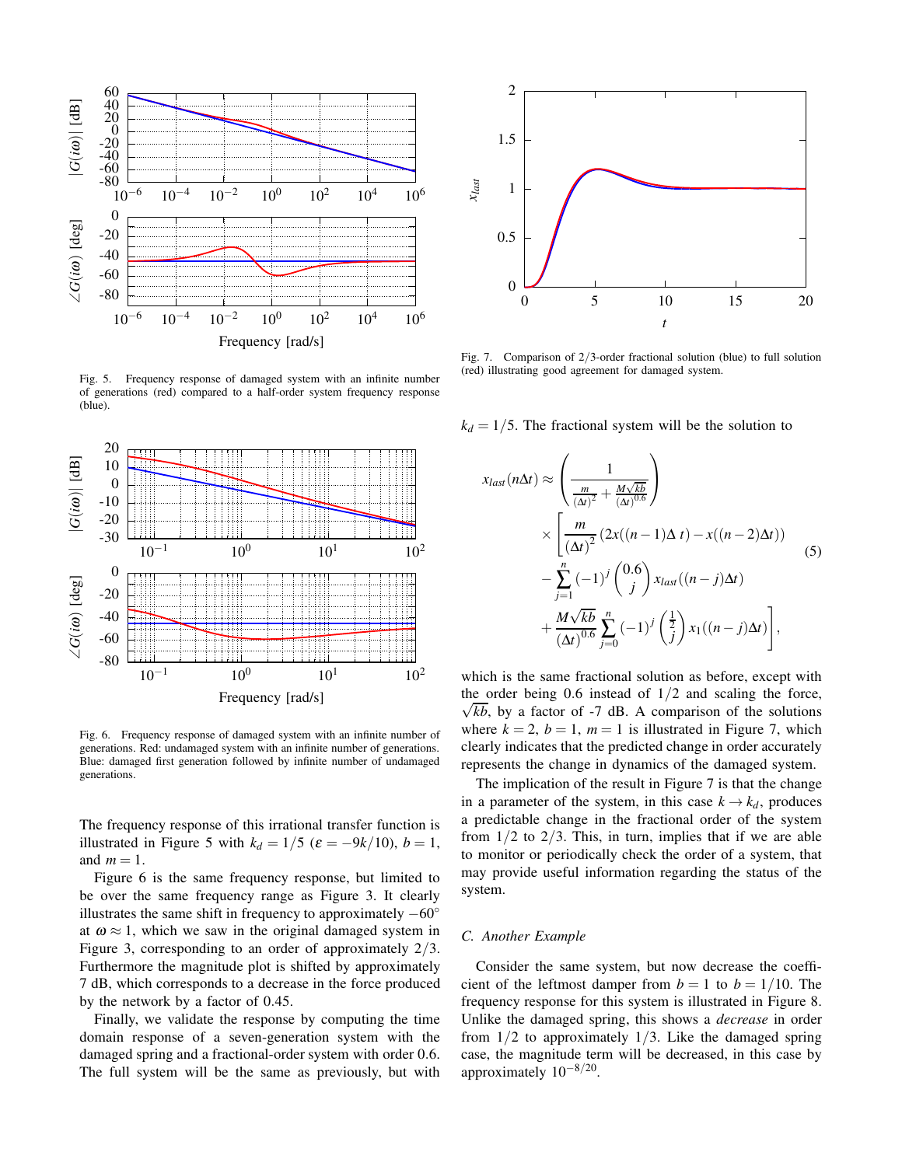

Fig. 5. Frequency response of damaged system with an infinite number of generations (red) compared to a half-order system frequency response (blue).



Fig. 6. Frequency response of damaged system with an infinite number of generations. Red: undamaged system with an infinite number of generations. Blue: damaged first generation followed by infinite number of undamaged generations.

The frequency response of this irrational transfer function is illustrated in Figure 5 with  $k_d = 1/5$  ( $\varepsilon = -9k/10$ ),  $b = 1$ , and  $m = 1$ .

Figure 6 is the same frequency response, but limited to be over the same frequency range as Figure 3. It clearly illustrates the same shift in frequency to approximately  $-60°$ at  $\omega \approx 1$ , which we saw in the original damaged system in Figure 3, corresponding to an order of approximately 2/3. Furthermore the magnitude plot is shifted by approximately 7 dB, which corresponds to a decrease in the force produced by the network by a factor of 0.45.

Finally, we validate the response by computing the time domain response of a seven-generation system with the damaged spring and a fractional-order system with order 0.6. The full system will be the same as previously, but with



Fig. 7. Comparison of 2/3-order fractional solution (blue) to full solution (red) illustrating good agreement for damaged system.

 $k_d = 1/5$ . The fractional system will be the solution to

$$
x_{last}(n\Delta t) \approx \left(\frac{1}{\frac{m}{(\Delta t)^2} + \frac{M\sqrt{kb}}{(\Delta t)^{0.6}}}\right)
$$
  
 
$$
\times \left[\frac{m}{(\Delta t)^2} (2x((n-1)\Delta t) - x((n-2)\Delta t)) - \sum_{j=1}^n (-1)^j \binom{0.6}{j} x_{last}((n-j)\Delta t) + \frac{M\sqrt{kb}}{(\Delta t)^{0.6}} \sum_{j=0}^n (-1)^j \left(\frac{1}{j}\right) x_1((n-j)\Delta t)\right],
$$
(5)

which is the same fractional solution as before, except with  $\sqrt{kb}$ , by a factor of -7 dB. A comparison of the solutions the order being  $0.6$  instead of  $1/2$  and scaling the force, where  $k = 2$ ,  $b = 1$ ,  $m = 1$  is illustrated in Figure 7, which clearly indicates that the predicted change in order accurately represents the change in dynamics of the damaged system.

The implication of the result in Figure 7 is that the change in a parameter of the system, in this case  $k \rightarrow k_d$ , produces a predictable change in the fractional order of the system from  $1/2$  to  $2/3$ . This, in turn, implies that if we are able to monitor or periodically check the order of a system, that may provide useful information regarding the status of the system.

### *C. Another Example*

Consider the same system, but now decrease the coefficient of the leftmost damper from  $b = 1$  to  $b = 1/10$ . The frequency response for this system is illustrated in Figure 8. Unlike the damaged spring, this shows a *decrease* in order from  $1/2$  to approximately  $1/3$ . Like the damaged spring case, the magnitude term will be decreased, in this case by approximately  $10^{-8/20}$ .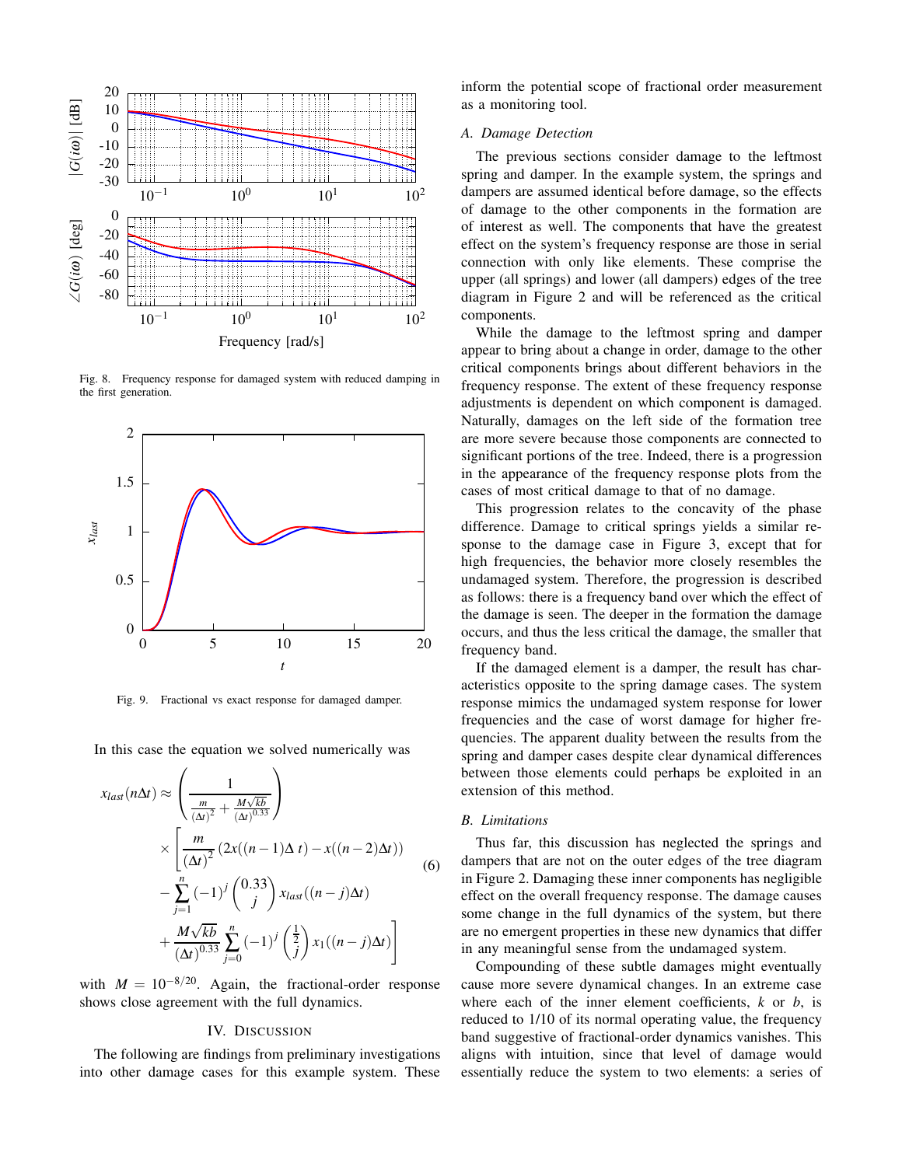

Fig. 8. Frequency response for damaged system with reduced damping in the first generation.



Fig. 9. Fractional vs exact response for damaged damper.

In this case the equation we solved numerically was

$$
x_{last}(n\Delta t) \approx \left(\frac{1}{\frac{m}{(\Delta t)^2} + \frac{M\sqrt{kb}}{(\Delta t)^{0.33}}}\right)
$$
  
 
$$
\times \left[\frac{m}{(\Delta t)^2} (2x((n-1)\Delta t) - x((n-2)\Delta t)) - \sum_{j=1}^n (-1)^j \binom{0.33}{j} x_{last}((n-j)\Delta t) + \frac{M\sqrt{kb}}{(\Delta t)^{0.33}} \sum_{j=0}^n (-1)^j \left(\frac{1}{j}\right) x_1((n-j)\Delta t)\right]
$$
(6)

with  $M = 10^{-8/20}$ . Again, the fractional-order response shows close agreement with the full dynamics.

### IV. DISCUSSION

The following are findings from preliminary investigations into other damage cases for this example system. These inform the potential scope of fractional order measurement as a monitoring tool.

# *A. Damage Detection*

The previous sections consider damage to the leftmost spring and damper. In the example system, the springs and dampers are assumed identical before damage, so the effects of damage to the other components in the formation are of interest as well. The components that have the greatest effect on the system's frequency response are those in serial connection with only like elements. These comprise the upper (all springs) and lower (all dampers) edges of the tree diagram in Figure 2 and will be referenced as the critical components.

While the damage to the leftmost spring and damper appear to bring about a change in order, damage to the other critical components brings about different behaviors in the frequency response. The extent of these frequency response adjustments is dependent on which component is damaged. Naturally, damages on the left side of the formation tree are more severe because those components are connected to significant portions of the tree. Indeed, there is a progression in the appearance of the frequency response plots from the cases of most critical damage to that of no damage.

This progression relates to the concavity of the phase difference. Damage to critical springs yields a similar response to the damage case in Figure 3, except that for high frequencies, the behavior more closely resembles the undamaged system. Therefore, the progression is described as follows: there is a frequency band over which the effect of the damage is seen. The deeper in the formation the damage occurs, and thus the less critical the damage, the smaller that frequency band.

If the damaged element is a damper, the result has characteristics opposite to the spring damage cases. The system response mimics the undamaged system response for lower frequencies and the case of worst damage for higher frequencies. The apparent duality between the results from the spring and damper cases despite clear dynamical differences between those elements could perhaps be exploited in an extension of this method.

#### *B. Limitations*

Thus far, this discussion has neglected the springs and dampers that are not on the outer edges of the tree diagram in Figure 2. Damaging these inner components has negligible effect on the overall frequency response. The damage causes some change in the full dynamics of the system, but there are no emergent properties in these new dynamics that differ in any meaningful sense from the undamaged system.

Compounding of these subtle damages might eventually cause more severe dynamical changes. In an extreme case where each of the inner element coefficients, *k* or *b*, is reduced to 1/10 of its normal operating value, the frequency band suggestive of fractional-order dynamics vanishes. This aligns with intuition, since that level of damage would essentially reduce the system to two elements: a series of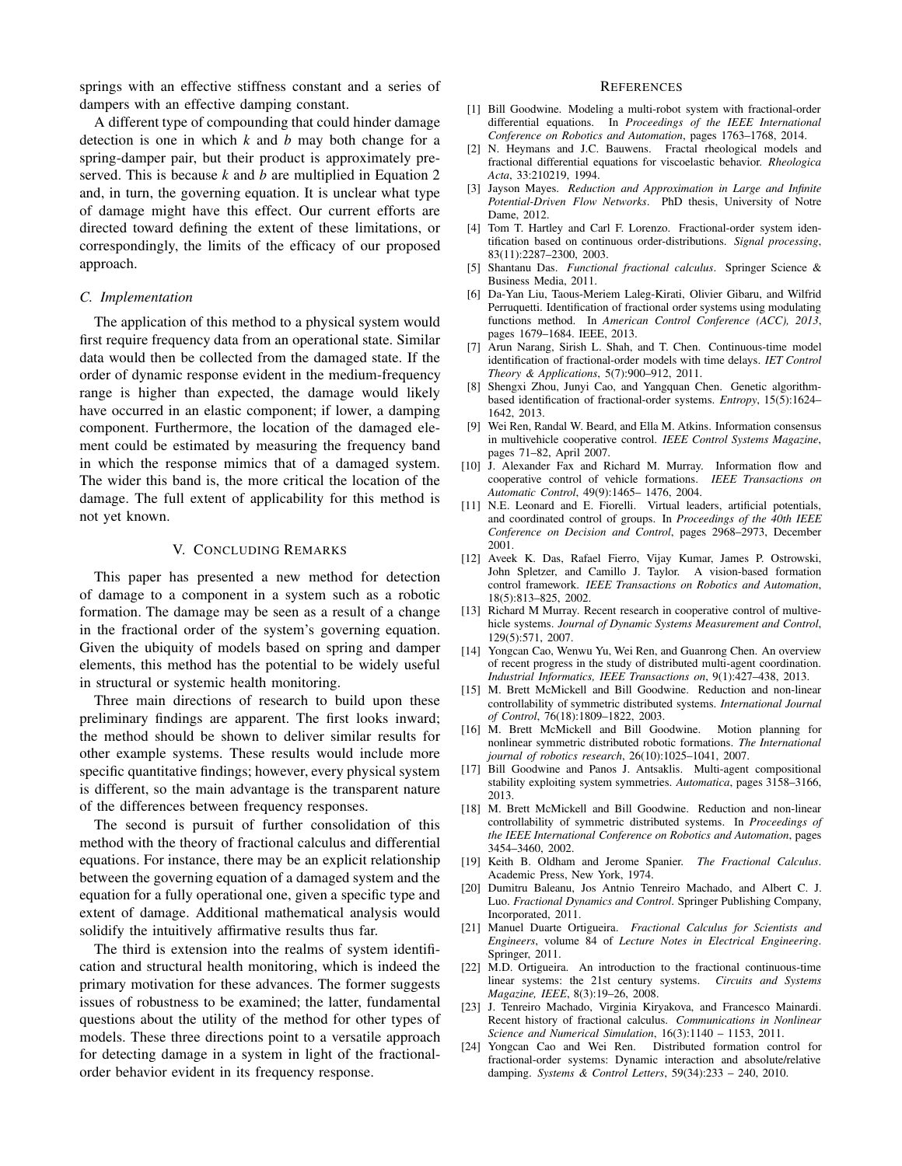springs with an effective stiffness constant and a series of dampers with an effective damping constant.

A different type of compounding that could hinder damage detection is one in which *k* and *b* may both change for a spring-damper pair, but their product is approximately preserved. This is because *k* and *b* are multiplied in Equation 2 and, in turn, the governing equation. It is unclear what type of damage might have this effect. Our current efforts are directed toward defining the extent of these limitations, or correspondingly, the limits of the efficacy of our proposed approach.

# *C. Implementation*

The application of this method to a physical system would first require frequency data from an operational state. Similar data would then be collected from the damaged state. If the order of dynamic response evident in the medium-frequency range is higher than expected, the damage would likely have occurred in an elastic component; if lower, a damping component. Furthermore, the location of the damaged element could be estimated by measuring the frequency band in which the response mimics that of a damaged system. The wider this band is, the more critical the location of the damage. The full extent of applicability for this method is not yet known.

# V. CONCLUDING REMARKS

This paper has presented a new method for detection of damage to a component in a system such as a robotic formation. The damage may be seen as a result of a change in the fractional order of the system's governing equation. Given the ubiquity of models based on spring and damper elements, this method has the potential to be widely useful in structural or systemic health monitoring.

Three main directions of research to build upon these preliminary findings are apparent. The first looks inward; the method should be shown to deliver similar results for other example systems. These results would include more specific quantitative findings; however, every physical system is different, so the main advantage is the transparent nature of the differences between frequency responses.

The second is pursuit of further consolidation of this method with the theory of fractional calculus and differential equations. For instance, there may be an explicit relationship between the governing equation of a damaged system and the equation for a fully operational one, given a specific type and extent of damage. Additional mathematical analysis would solidify the intuitively affirmative results thus far.

The third is extension into the realms of system identification and structural health monitoring, which is indeed the primary motivation for these advances. The former suggests issues of robustness to be examined; the latter, fundamental questions about the utility of the method for other types of models. These three directions point to a versatile approach for detecting damage in a system in light of the fractionalorder behavior evident in its frequency response.

#### **REFERENCES**

- [1] Bill Goodwine. Modeling a multi-robot system with fractional-order differential equations. In *Proceedings of the IEEE International Conference on Robotics and Automation*, pages 1763–1768, 2014.
- [2] N. Heymans and J.C. Bauwens. Fractal rheological models and fractional differential equations for viscoelastic behavior. *Rheologica Acta*, 33:210219, 1994.
- [3] Jayson Mayes. *Reduction and Approximation in Large and Infinite Potential-Driven Flow Networks*. PhD thesis, University of Notre Dame, 2012.
- [4] Tom T. Hartley and Carl F. Lorenzo. Fractional-order system identification based on continuous order-distributions. *Signal processing*, 83(11):2287–2300, 2003.
- [5] Shantanu Das. *Functional fractional calculus*. Springer Science & Business Media, 2011.
- [6] Da-Yan Liu, Taous-Meriem Laleg-Kirati, Olivier Gibaru, and Wilfrid Perruquetti. Identification of fractional order systems using modulating functions method. In *American Control Conference (ACC), 2013*, pages 1679–1684. IEEE, 2013.
- [7] Arun Narang, Sirish L. Shah, and T. Chen. Continuous-time model identification of fractional-order models with time delays. *IET Control Theory & Applications*, 5(7):900–912, 2011.
- [8] Shengxi Zhou, Junyi Cao, and Yangquan Chen. Genetic algorithmbased identification of fractional-order systems. *Entropy*, 15(5):1624– 1642, 2013.
- [9] Wei Ren, Randal W. Beard, and Ella M. Atkins. Information consensus in multivehicle cooperative control. *IEEE Control Systems Magazine*, pages 71–82, April 2007.
- [10] J. Alexander Fax and Richard M. Murray. Information flow and cooperative control of vehicle formations. *IEEE Transactions on Automatic Control*, 49(9):1465– 1476, 2004.
- [11] N.E. Leonard and E. Fiorelli. Virtual leaders, artificial potentials, and coordinated control of groups. In *Proceedings of the 40th IEEE Conference on Decision and Control*, pages 2968–2973, December 2001.
- [12] Aveek K. Das, Rafael Fierro, Vijay Kumar, James P. Ostrowski, John Spletzer, and Camillo J. Taylor. A vision-based formation control framework. *IEEE Transactions on Robotics and Automation*, 18(5):813–825, 2002.
- [13] Richard M Murray. Recent research in cooperative control of multivehicle systems. *Journal of Dynamic Systems Measurement and Control*, 129(5):571, 2007.
- [14] Yongcan Cao, Wenwu Yu, Wei Ren, and Guanrong Chen. An overview of recent progress in the study of distributed multi-agent coordination. *Industrial Informatics, IEEE Transactions on*, 9(1):427–438, 2013.
- [15] M. Brett McMickell and Bill Goodwine. Reduction and non-linear controllability of symmetric distributed systems. *International Journal of Control*, 76(18):1809–1822, 2003.
- [16] M. Brett McMickell and Bill Goodwine. Motion planning for nonlinear symmetric distributed robotic formations. *The International journal of robotics research*, 26(10):1025–1041, 2007.
- [17] Bill Goodwine and Panos J. Antsaklis. Multi-agent compositional stability exploiting system symmetries. *Automatica*, pages 3158–3166, 2013.
- [18] M. Brett McMickell and Bill Goodwine. Reduction and non-linear controllability of symmetric distributed systems. In *Proceedings of the IEEE International Conference on Robotics and Automation*, pages 3454–3460, 2002.
- [19] Keith B. Oldham and Jerome Spanier. *The Fractional Calculus*. Academic Press, New York, 1974.
- [20] Dumitru Baleanu, Jos Antnio Tenreiro Machado, and Albert C. J. Luo. *Fractional Dynamics and Control*. Springer Publishing Company, Incorporated, 2011.
- [21] Manuel Duarte Ortigueira. *Fractional Calculus for Scientists and Engineers*, volume 84 of *Lecture Notes in Electrical Engineering*. Springer, 2011.
- [22] M.D. Ortigueira. An introduction to the fractional continuous-time linear systems: the 21st century systems. *Circuits and Systems Magazine, IEEE*, 8(3):19–26, 2008.
- [23] J. Tenreiro Machado, Virginia Kiryakova, and Francesco Mainardi. Recent history of fractional calculus. *Communications in Nonlinear Science and Numerical Simulation*, 16(3):1140 – 1153, 2011.
- [24] Yongcan Cao and Wei Ren. Distributed formation control for fractional-order systems: Dynamic interaction and absolute/relative damping. *Systems & Control Letters*, 59(34):233 – 240, 2010.